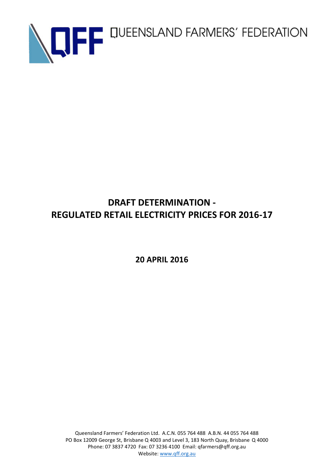

## **DRAFT DETERMINATION - REGULATED RETAIL ELECTRICITY PRICES FOR 2016-17**

**20 APRIL 2016**

Queensland Farmers' Federation Ltd. A.C.N. 055 764 488 A.B.N. 44 055 764 488 PO Box 12009 George St, Brisbane Q 4003 and Level 3, 183 North Quay, Brisbane Q 4000 Phone: 07 3837 4720 Fax: 07 3236 4100 Email: qfarmers@qff.org.au Website: [www.qff.org.au](http://www.qff.org.au/)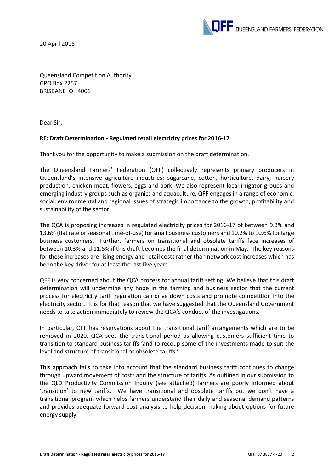20 April 2016



Queensland Competition Authority GPO Box 2257 BRISBANE Q 4001

Dear Sir,

## **RE: Draft Determination - Regulated retail electricity prices for 2016-17**

Thankyou for the opportunity to make a submission on the draft determination.

The Queensland Farmers' Federation (QFF) collectively represents primary producers in Queensland's intensive agriculture industries: sugarcane, cotton, horticulture, dairy, nursery production, chicken meat, flowers, eggs and pork. We also represent local irrigator groups and emerging industry groups such as organics and aquaculture. QFF engages in a range of economic, social, environmental and regional issues of strategic importance to the growth, profitability and sustainability of the sector.

The QCA is proposing increases in regulated electricity prices for 2016-17 of between 9.3% and 13.6% (flat rate or seasonal time-of-use) for small business customers and 10.2% to 10.6% for large business customers. Further, farmers on transitional and obsolete tariffs face increases of between 10.3% and 11.5% if this draft becomes the final determination in May. The key reasons for these increases are rising energy and retail costs rather than network cost increases which has been the key driver for at least the last five years.

QFF is very concerned about the QCA process for annual tariff setting. We believe that this draft determination will undermine any hope in the farming and business sector that the current process for electricity tariff regulation can drive down costs and promote competition into the electricity sector. It is for that reason that we have suggested that the Queensland Government needs to take action immediately to review the QCA's conduct of the investigations.

In particular, QFF has reservations about the transitional tariff arrangements which are to be removed in 2020. QCA sees the transitional period as allowing customers sufficient time to transition to standard business tariffs 'and to recoup some of the investments made to suit the level and structure of transitional or obsolete tariffs.'

This approach fails to take into account that the standard business tariff continues to change through upward movement of costs and the structure of tariffs. As outlined in our submission to the QLD Productivity Commission Inquiry (see attached) farmers are poorly informed about 'transition' to new tariffs. We have transitional and obsolete tariffs but we don't have a transitional program which helps farmers understand their daily and seasonal demand patterns and provides adequate forward cost analysis to help decision making about options for future energy supply.